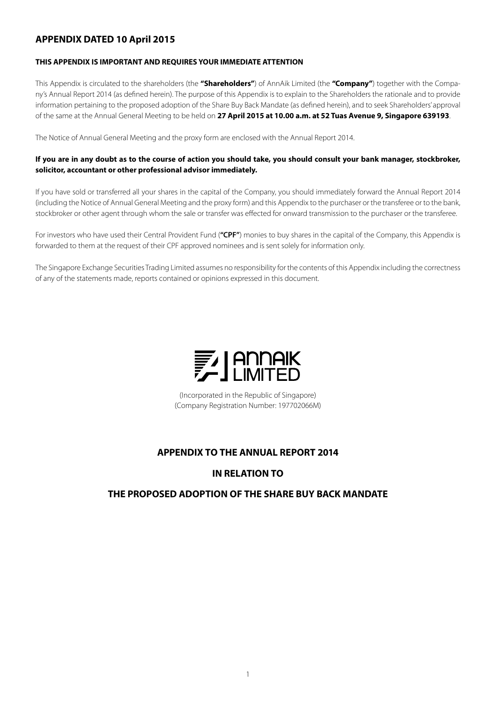# **APPENDIX DATED 10 April 2015**

# **THIS APPENDIX IS IMPORTANT AND REQUIRES YOUR IMMEDIATE ATTENTION**

This Appendix is circulated to the shareholders (the **"Shareholders"**) of AnnAik Limited (the **"Company"**) together with the Company's Annual Report 2014 (as defined herein). The purpose of this Appendix is to explain to the Shareholders the rationale and to provide information pertaining to the proposed adoption of the Share Buy Back Mandate (as defined herein), and to seek Shareholders' approval of the same at the Annual General Meeting to be held on **27 April 2015 at 10.00 a.m. at 52 Tuas Avenue 9, Singapore 639193**.

The Notice of Annual General Meeting and the proxy form are enclosed with the Annual Report 2014.

# **If you are in any doubt as to the course of action you should take, you should consult your bank manager, stockbroker, solicitor, accountant or other professional advisor immediately.**

If you have sold or transferred all your shares in the capital of the Company, you should immediately forward the Annual Report 2014 (including the Notice of Annual General Meeting and the proxy form) and this Appendix to the purchaser or the transferee or to the bank, stockbroker or other agent through whom the sale or transfer was effected for onward transmission to the purchaser or the transferee.

For investors who have used their Central Provident Fund (**"CPF"**) monies to buy shares in the capital of the Company, this Appendix is forwarded to them at the request of their CPF approved nominees and is sent solely for information only.

The Singapore Exchange Securities Trading Limited assumes no responsibility for the contents of this Appendix including the correctness of any of the statements made, reports contained or opinions expressed in this document.



(Incorporated in the Republic of Singapore) (Company Registration Number: 197702066M)

# **APPENDIX TO THE ANNUAL REPORT 2014**

# **IN RELATION TO**

# **THE PROPOSED ADOPTION OF THE SHARE BUY BACK MANDATE**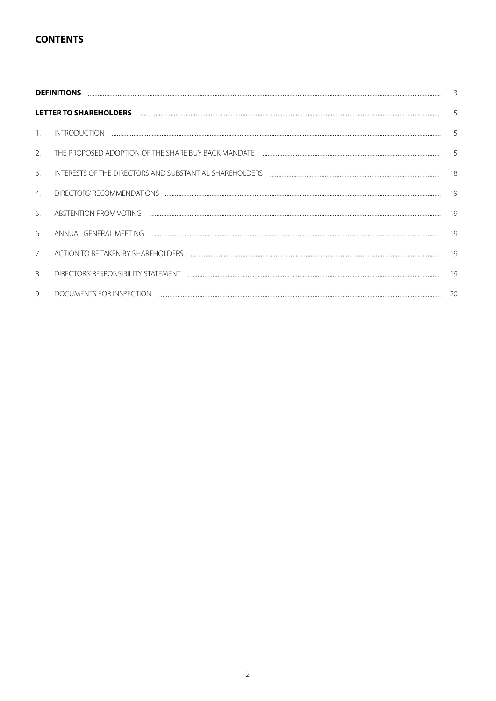# **CONTENTS**

|                | 3                                                                                                                                                                                                                                                                                                                                                                                                                                                                                                                           |    |  |  |  |  |  |
|----------------|-----------------------------------------------------------------------------------------------------------------------------------------------------------------------------------------------------------------------------------------------------------------------------------------------------------------------------------------------------------------------------------------------------------------------------------------------------------------------------------------------------------------------------|----|--|--|--|--|--|
|                | LETTER TO SHAREHOLDERS And the contract of the contract of the contract of the contract of the contract of the                                                                                                                                                                                                                                                                                                                                                                                                              | 5  |  |  |  |  |  |
| $\mathbf{1}$ . |                                                                                                                                                                                                                                                                                                                                                                                                                                                                                                                             | 5  |  |  |  |  |  |
| 2.             | THE PROPOSED ADOPTION OF THE SHARE BUY BACK MANDATE THE CONDITIONAL CONTENTS AND ANNOUNCED ADOPTION OF THE SHARE BUY BACK MANDATE THE CONDITIONAL CONDITIONAL CONDITIONAL CONDITIONAL CONDITIONAL CONDITIONAL CONDITIONAL COND                                                                                                                                                                                                                                                                                              | 5  |  |  |  |  |  |
| 3.             | INTERESTS OF THE DIRECTORS AND SUBSTANTIAL SHAREHOLDERS THE CONDITIONAL CONTENTS AND THE RESTS OF THE DIRECTORS AND SUBSTANTIAL SHAREHOLDERS                                                                                                                                                                                                                                                                                                                                                                                | 18 |  |  |  |  |  |
| 4.             |                                                                                                                                                                                                                                                                                                                                                                                                                                                                                                                             | 19 |  |  |  |  |  |
| 5.             | ABSTENTION FROM VOTING Examination and the contract of the contract of the contract of the contract of the contract of the contract of the contract of the contract of the contract of the contract of the contract of the con                                                                                                                                                                                                                                                                                              | 19 |  |  |  |  |  |
| 6.             |                                                                                                                                                                                                                                                                                                                                                                                                                                                                                                                             | 19 |  |  |  |  |  |
| 7.             |                                                                                                                                                                                                                                                                                                                                                                                                                                                                                                                             | 19 |  |  |  |  |  |
| 8              |                                                                                                                                                                                                                                                                                                                                                                                                                                                                                                                             | 19 |  |  |  |  |  |
| 9.             | DOCUMENTS FOR INSPECTION<br>$\begin{minipage}{0.5\textwidth} \begin{tabular}{l} \textbf{0.01}\end{tabular} \end{minipage} \begin{minipage}{0.5\textwidth} \begin{tabular}{l} \textbf{0.01}\end{tabular} \end{minipage} \end{minipage} \begin{minipage}{0.5\textwidth} \begin{tabular}{l} \textbf{0.01}\end{tabular} \end{minipage} \end{minipage} \begin{minipage}{0.5\textwidth} \begin{tabular}{l} \textbf{0.01}\end{tabular} \end{minipage} \end{minipage} \begin{minipage}{0.5\textwidth} \begin{tabular}{l} \textbf{0$ | 20 |  |  |  |  |  |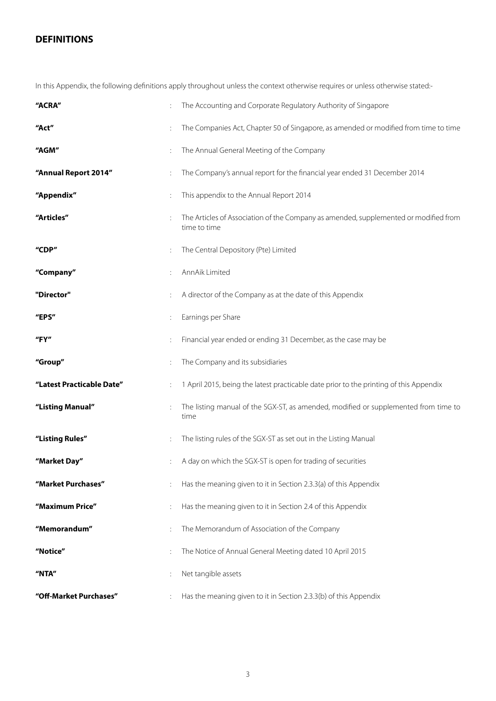# **DEFINITIONS**

In this Appendix, the following definitions apply throughout unless the context otherwise requires or unless otherwise stated:-

| "ACRA"                    |                | The Accounting and Corporate Regulatory Authority of Singapore                                       |
|---------------------------|----------------|------------------------------------------------------------------------------------------------------|
| "Act"                     |                | The Companies Act, Chapter 50 of Singapore, as amended or modified from time to time                 |
| "AGM"                     |                | The Annual General Meeting of the Company                                                            |
| "Annual Report 2014"      |                | The Company's annual report for the financial year ended 31 December 2014                            |
| "Appendix"                |                | This appendix to the Annual Report 2014                                                              |
| "Articles"                |                | The Articles of Association of the Company as amended, supplemented or modified from<br>time to time |
| "CDP"                     | ÷              | The Central Depository (Pte) Limited                                                                 |
| "Company"                 |                | AnnAik Limited                                                                                       |
| "Director"                |                | A director of the Company as at the date of this Appendix                                            |
| "EPS"                     | $\ddot{\cdot}$ | Earnings per Share                                                                                   |
| "FY"                      |                | Financial year ended or ending 31 December, as the case may be                                       |
| "Group"                   |                | The Company and its subsidiaries                                                                     |
| "Latest Practicable Date" |                | 1 April 2015, being the latest practicable date prior to the printing of this Appendix               |
| "Listing Manual"          | ÷              | The listing manual of the SGX-ST, as amended, modified or supplemented from time to<br>time          |
| "Listing Rules"           |                | The listing rules of the SGX-ST as set out in the Listing Manual                                     |
| "Market Day"              |                | A day on which the SGX-ST is open for trading of securities                                          |
| "Market Purchases"        |                | Has the meaning given to it in Section 2.3.3(a) of this Appendix                                     |
| "Maximum Price"           |                | Has the meaning given to it in Section 2.4 of this Appendix                                          |
| "Memorandum"              |                | The Memorandum of Association of the Company                                                         |
| "Notice"                  |                | The Notice of Annual General Meeting dated 10 April 2015                                             |
| "NTA"                     |                | Net tangible assets                                                                                  |
|                           |                |                                                                                                      |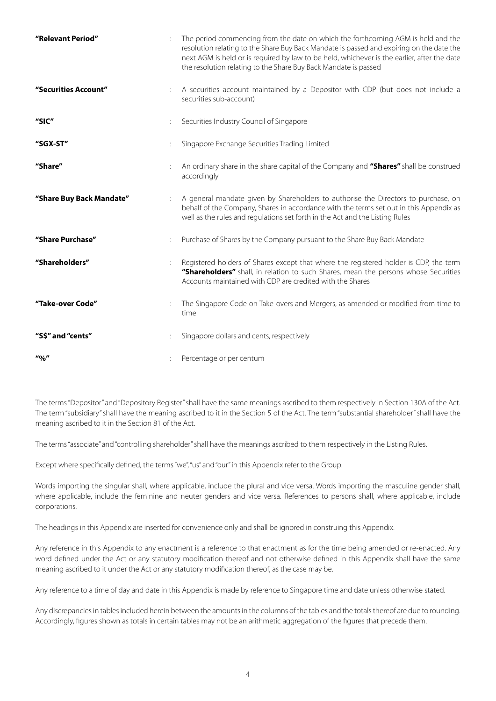| "Relevant Period"        |                           | The period commencing from the date on which the forthcoming AGM is held and the<br>resolution relating to the Share Buy Back Mandate is passed and expiring on the date the<br>next AGM is held or is required by law to be held, whichever is the earlier, after the date<br>the resolution relating to the Share Buy Back Mandate is passed |
|--------------------------|---------------------------|------------------------------------------------------------------------------------------------------------------------------------------------------------------------------------------------------------------------------------------------------------------------------------------------------------------------------------------------|
| "Securities Account"     |                           | A securities account maintained by a Depositor with CDP (but does not include a<br>securities sub-account)                                                                                                                                                                                                                                     |
| "SIC"                    |                           | Securities Industry Council of Singapore                                                                                                                                                                                                                                                                                                       |
| "SGX-ST"                 |                           | Singapore Exchange Securities Trading Limited                                                                                                                                                                                                                                                                                                  |
| "Share"                  |                           | An ordinary share in the share capital of the Company and "Shares" shall be construed<br>accordingly                                                                                                                                                                                                                                           |
| "Share Buy Back Mandate" | $\mathbb{R}^{\mathbb{Z}}$ | A general mandate given by Shareholders to authorise the Directors to purchase, on<br>behalf of the Company, Shares in accordance with the terms set out in this Appendix as<br>well as the rules and regulations set forth in the Act and the Listing Rules                                                                                   |
| "Share Purchase"         |                           | Purchase of Shares by the Company pursuant to the Share Buy Back Mandate                                                                                                                                                                                                                                                                       |
| "Shareholders"           |                           | Registered holders of Shares except that where the registered holder is CDP, the term<br>"Shareholders" shall, in relation to such Shares, mean the persons whose Securities<br>Accounts maintained with CDP are credited with the Shares                                                                                                      |
| "Take-over Code"         |                           | The Singapore Code on Take-overs and Mergers, as amended or modified from time to<br>time                                                                                                                                                                                                                                                      |
| "S\$" and "cents"        |                           | Singapore dollars and cents, respectively                                                                                                                                                                                                                                                                                                      |
| $\frac{10}{6}$           |                           | Percentage or per centum                                                                                                                                                                                                                                                                                                                       |

The terms "Depositor" and "Depository Register" shall have the same meanings ascribed to them respectively in Section 130A of the Act. The term "subsidiary" shall have the meaning ascribed to it in the Section 5 of the Act. The term "substantial shareholder" shall have the meaning ascribed to it in the Section 81 of the Act.

The terms "associate" and "controlling shareholder" shall have the meanings ascribed to them respectively in the Listing Rules.

Except where specifically defined, the terms "we", "us" and "our" in this Appendix refer to the Group.

Words importing the singular shall, where applicable, include the plural and vice versa. Words importing the masculine gender shall, where applicable, include the feminine and neuter genders and vice versa. References to persons shall, where applicable, include corporations.

The headings in this Appendix are inserted for convenience only and shall be ignored in construing this Appendix.

Any reference in this Appendix to any enactment is a reference to that enactment as for the time being amended or re-enacted. Any word defined under the Act or any statutory modification thereof and not otherwise defined in this Appendix shall have the same meaning ascribed to it under the Act or any statutory modification thereof, as the case may be.

Any reference to a time of day and date in this Appendix is made by reference to Singapore time and date unless otherwise stated.

Any discrepancies in tables included herein between the amounts in the columns of the tables and the totals thereof are due to rounding. Accordingly, figures shown as totals in certain tables may not be an arithmetic aggregation of the figures that precede them.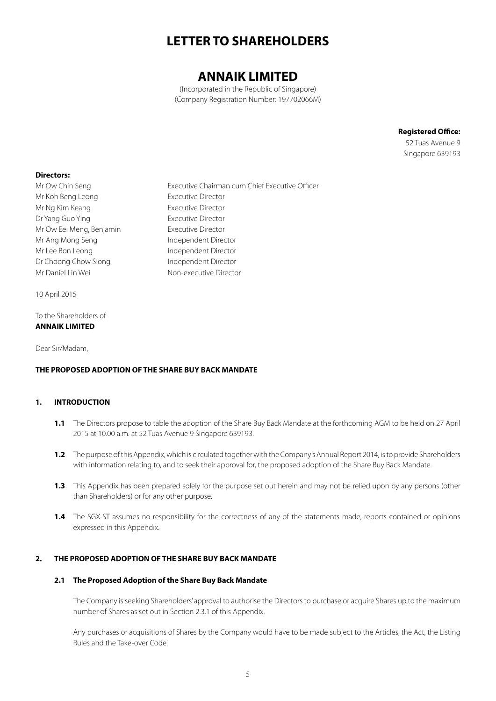# **LETTER TO SHAREHOLDERS**

# **ANNAIK LIMITED**

(Incorporated in the Republic of Singapore) (Company Registration Number: 197702066M)

> **Registered Office:** 52 Tuas Avenue 9

Singapore 639193

# **Directors:**

Mr Ow Chin Seng **Executive Chairman cum Chief Executive Officer** Mr Koh Beng Leong **Executive Director** Mr Ng Kim Keang **Executive Director** Dr Yang Guo Ying **Executive Director** Mr Ow Eei Meng, Benjamin Executive Director Mr Ang Mong Seng Independent Director Mr Lee Bon Leong Independent Director Dr Choong Chow Siong Independent Director Mr Daniel Lin Wei Non-executive Director

10 April 2015

To the Shareholders of **ANNAIK LIMITED**

Dear Sir/Madam,

# **THE PROPOSED ADOPTION OF THE SHARE BUY BACK MANDATE**

# **1. INTRODUCTION**

- **1.1** The Directors propose to table the adoption of the Share Buy Back Mandate at the forthcoming AGM to be held on 27 April 2015 at 10.00 a.m. at 52 Tuas Avenue 9 Singapore 639193.
- **1.2** The purpose of this Appendix, which is circulated together with the Company's Annual Report 2014, is to provide Shareholders with information relating to, and to seek their approval for, the proposed adoption of the Share Buy Back Mandate.
- **1.3** This Appendix has been prepared solely for the purpose set out herein and may not be relied upon by any persons (other than Shareholders) or for any other purpose.
- **1.4** The SGX-ST assumes no responsibility for the correctness of any of the statements made, reports contained or opinions expressed in this Appendix.

# **2. THE PROPOSED ADOPTION OF THE SHARE BUY BACK MANDATE**

# **2.1 The Proposed Adoption of the Share Buy Back Mandate**

The Company is seeking Shareholders' approval to authorise the Directors to purchase or acquire Shares up to the maximum number of Shares as set out in Section 2.3.1 of this Appendix.

Any purchases or acquisitions of Shares by the Company would have to be made subject to the Articles, the Act, the Listing Rules and the Take-over Code.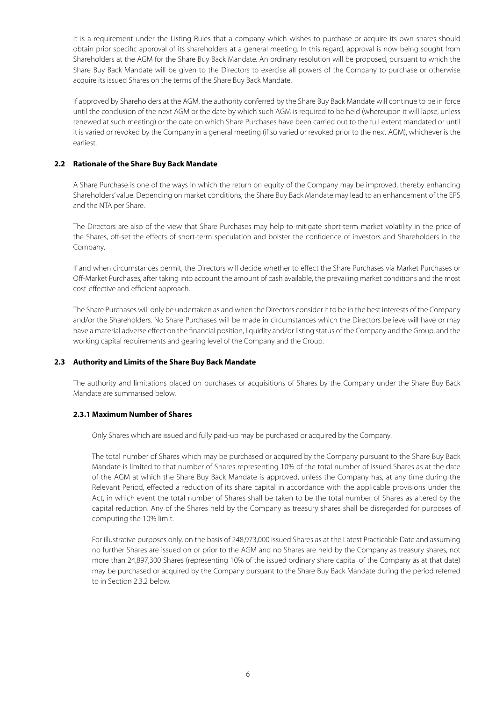It is a requirement under the Listing Rules that a company which wishes to purchase or acquire its own shares should obtain prior specific approval of its shareholders at a general meeting. In this regard, approval is now being sought from Shareholders at the AGM for the Share Buy Back Mandate. An ordinary resolution will be proposed, pursuant to which the Share Buy Back Mandate will be given to the Directors to exercise all powers of the Company to purchase or otherwise acquire its issued Shares on the terms of the Share Buy Back Mandate.

If approved by Shareholders at the AGM, the authority conferred by the Share Buy Back Mandate will continue to be in force until the conclusion of the next AGM or the date by which such AGM is required to be held (whereupon it will lapse, unless renewed at such meeting) or the date on which Share Purchases have been carried out to the full extent mandated or until it is varied or revoked by the Company in a general meeting (if so varied or revoked prior to the next AGM), whichever is the earliest.

### **2.2 Rationale of the Share Buy Back Mandate**

A Share Purchase is one of the ways in which the return on equity of the Company may be improved, thereby enhancing Shareholders' value. Depending on market conditions, the Share Buy Back Mandate may lead to an enhancement of the EPS and the NTA per Share.

The Directors are also of the view that Share Purchases may help to mitigate short-term market volatility in the price of the Shares, off-set the effects of short-term speculation and bolster the confidence of investors and Shareholders in the Company.

If and when circumstances permit, the Directors will decide whether to effect the Share Purchases via Market Purchases or Off-Market Purchases, after taking into account the amount of cash available, the prevailing market conditions and the most cost-effective and efficient approach.

The Share Purchases will only be undertaken as and when the Directors consider it to be in the best interests of the Company and/or the Shareholders. No Share Purchases will be made in circumstances which the Directors believe will have or may have a material adverse effect on the financial position, liquidity and/or listing status of the Company and the Group, and the working capital requirements and gearing level of the Company and the Group.

# **2.3 Authority and Limits of the Share Buy Back Mandate**

The authority and limitations placed on purchases or acquisitions of Shares by the Company under the Share Buy Back Mandate are summarised below.

# **2.3.1 Maximum Number of Shares**

Only Shares which are issued and fully paid-up may be purchased or acquired by the Company.

The total number of Shares which may be purchased or acquired by the Company pursuant to the Share Buy Back Mandate is limited to that number of Shares representing 10% of the total number of issued Shares as at the date of the AGM at which the Share Buy Back Mandate is approved, unless the Company has, at any time during the Relevant Period, effected a reduction of its share capital in accordance with the applicable provisions under the Act, in which event the total number of Shares shall be taken to be the total number of Shares as altered by the capital reduction. Any of the Shares held by the Company as treasury shares shall be disregarded for purposes of computing the 10% limit.

For illustrative purposes only, on the basis of 248,973,000 issued Shares as at the Latest Practicable Date and assuming no further Shares are issued on or prior to the AGM and no Shares are held by the Company as treasury shares, not more than 24,897,300 Shares (representing 10% of the issued ordinary share capital of the Company as at that date) may be purchased or acquired by the Company pursuant to the Share Buy Back Mandate during the period referred to in Section 2.3.2 below.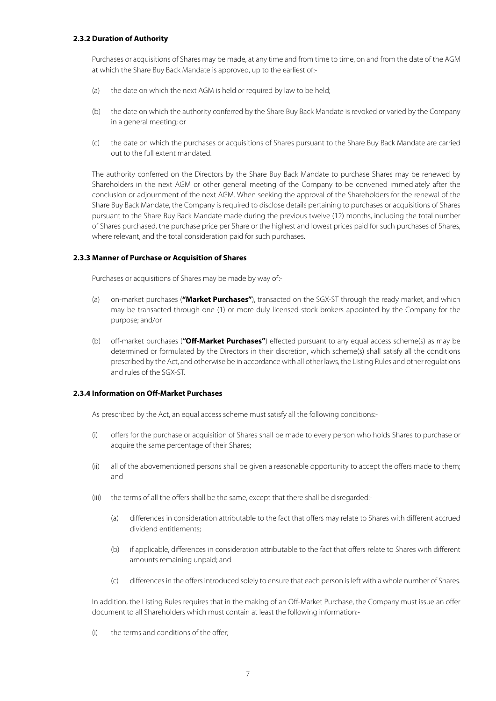# **2.3.2 Duration of Authority**

Purchases or acquisitions of Shares may be made, at any time and from time to time, on and from the date of the AGM at which the Share Buy Back Mandate is approved, up to the earliest of:-

- (a) the date on which the next AGM is held or required by law to be held;
- (b) the date on which the authority conferred by the Share Buy Back Mandate is revoked or varied by the Company in a general meeting; or
- (c) the date on which the purchases or acquisitions of Shares pursuant to the Share Buy Back Mandate are carried out to the full extent mandated.

The authority conferred on the Directors by the Share Buy Back Mandate to purchase Shares may be renewed by Shareholders in the next AGM or other general meeting of the Company to be convened immediately after the conclusion or adjournment of the next AGM. When seeking the approval of the Shareholders for the renewal of the Share Buy Back Mandate, the Company is required to disclose details pertaining to purchases or acquisitions of Shares pursuant to the Share Buy Back Mandate made during the previous twelve (12) months, including the total number of Shares purchased, the purchase price per Share or the highest and lowest prices paid for such purchases of Shares, where relevant, and the total consideration paid for such purchases.

#### **2.3.3 Manner of Purchase or Acquisition of Shares**

Purchases or acquisitions of Shares may be made by way of:-

- (a) on-market purchases (**"Market Purchases"**), transacted on the SGX-ST through the ready market, and which may be transacted through one (1) or more duly licensed stock brokers appointed by the Company for the purpose; and/or
- (b) off-market purchases (**"Off-Market Purchases"**) effected pursuant to any equal access scheme(s) as may be determined or formulated by the Directors in their discretion, which scheme(s) shall satisfy all the conditions prescribed by the Act, and otherwise be in accordance with all other laws, the Listing Rules and other regulations and rules of the SGX-ST.

# **2.3.4 Information on Off-Market Purchases**

As prescribed by the Act, an equal access scheme must satisfy all the following conditions:-

- (i) offers for the purchase or acquisition of Shares shall be made to every person who holds Shares to purchase or acquire the same percentage of their Shares;
- (ii) all of the abovementioned persons shall be given a reasonable opportunity to accept the offers made to them; and
- (iii) the terms of all the offers shall be the same, except that there shall be disregarded:-
	- (a) differences in consideration attributable to the fact that offers may relate to Shares with different accrued dividend entitlements;
	- (b) if applicable, differences in consideration attributable to the fact that offers relate to Shares with different amounts remaining unpaid; and
	- (c) differences in the offers introduced solely to ensure that each person is left with a whole number of Shares.

In addition, the Listing Rules requires that in the making of an Off-Market Purchase, the Company must issue an offer document to all Shareholders which must contain at least the following information:-

(i) the terms and conditions of the offer;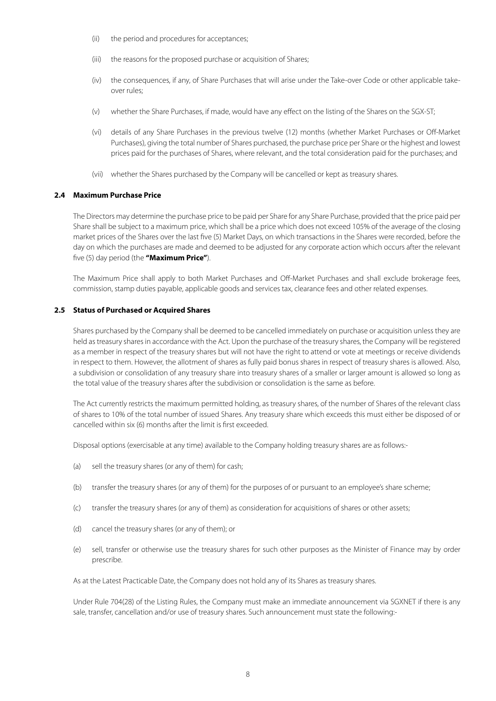- (ii) the period and procedures for acceptances;
- (iii) the reasons for the proposed purchase or acquisition of Shares;
- (iv) the consequences, if any, of Share Purchases that will arise under the Take-over Code or other applicable takeover rules;
- (v) whether the Share Purchases, if made, would have any effect on the listing of the Shares on the SGX-ST;
- (vi) details of any Share Purchases in the previous twelve (12) months (whether Market Purchases or Off-Market Purchases), giving the total number of Shares purchased, the purchase price per Share or the highest and lowest prices paid for the purchases of Shares, where relevant, and the total consideration paid for the purchases; and
- (vii) whether the Shares purchased by the Company will be cancelled or kept as treasury shares.

# **2.4 Maximum Purchase Price**

The Directors may determine the purchase price to be paid per Share for any Share Purchase, provided that the price paid per Share shall be subject to a maximum price, which shall be a price which does not exceed 105% of the average of the closing market prices of the Shares over the last five (5) Market Days, on which transactions in the Shares were recorded, before the day on which the purchases are made and deemed to be adjusted for any corporate action which occurs after the relevant five (5) day period (the **"Maximum Price"**).

The Maximum Price shall apply to both Market Purchases and Off-Market Purchases and shall exclude brokerage fees, commission, stamp duties payable, applicable goods and services tax, clearance fees and other related expenses.

#### **2.5 Status of Purchased or Acquired Shares**

Shares purchased by the Company shall be deemed to be cancelled immediately on purchase or acquisition unless they are held as treasury shares in accordance with the Act. Upon the purchase of the treasury shares, the Company will be registered as a member in respect of the treasury shares but will not have the right to attend or vote at meetings or receive dividends in respect to them. However, the allotment of shares as fully paid bonus shares in respect of treasury shares is allowed. Also, a subdivision or consolidation of any treasury share into treasury shares of a smaller or larger amount is allowed so long as the total value of the treasury shares after the subdivision or consolidation is the same as before.

The Act currently restricts the maximum permitted holding, as treasury shares, of the number of Shares of the relevant class of shares to 10% of the total number of issued Shares. Any treasury share which exceeds this must either be disposed of or cancelled within six (6) months after the limit is first exceeded.

Disposal options (exercisable at any time) available to the Company holding treasury shares are as follows:-

- (a) sell the treasury shares (or any of them) for cash;
- (b) transfer the treasury shares (or any of them) for the purposes of or pursuant to an employee's share scheme;
- (c) transfer the treasury shares (or any of them) as consideration for acquisitions of shares or other assets;
- (d) cancel the treasury shares (or any of them); or
- (e) sell, transfer or otherwise use the treasury shares for such other purposes as the Minister of Finance may by order prescribe.

As at the Latest Practicable Date, the Company does not hold any of its Shares as treasury shares.

Under Rule 704(28) of the Listing Rules, the Company must make an immediate announcement via SGXNET if there is any sale, transfer, cancellation and/or use of treasury shares. Such announcement must state the following:-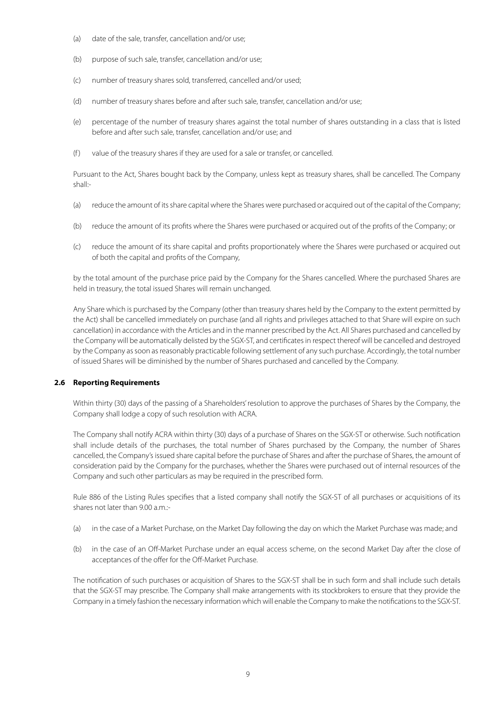- (a) date of the sale, transfer, cancellation and/or use;
- (b) purpose of such sale, transfer, cancellation and/or use;
- (c) number of treasury shares sold, transferred, cancelled and/or used;
- (d) number of treasury shares before and after such sale, transfer, cancellation and/or use;
- (e) percentage of the number of treasury shares against the total number of shares outstanding in a class that is listed before and after such sale, transfer, cancellation and/or use; and
- (f) value of the treasury shares if they are used for a sale or transfer, or cancelled.

Pursuant to the Act, Shares bought back by the Company, unless kept as treasury shares, shall be cancelled. The Company shall:-

- (a) reduce the amount of its share capital where the Shares were purchased or acquired out of the capital of the Company;
- (b) reduce the amount of its profits where the Shares were purchased or acquired out of the profits of the Company; or
- (c) reduce the amount of its share capital and profits proportionately where the Shares were purchased or acquired out of both the capital and profits of the Company,

by the total amount of the purchase price paid by the Company for the Shares cancelled. Where the purchased Shares are held in treasury, the total issued Shares will remain unchanged.

Any Share which is purchased by the Company (other than treasury shares held by the Company to the extent permitted by the Act) shall be cancelled immediately on purchase (and all rights and privileges attached to that Share will expire on such cancellation) in accordance with the Articles and in the manner prescribed by the Act. All Shares purchased and cancelled by the Company will be automatically delisted by the SGX-ST, and certificates in respect thereof will be cancelled and destroyed by the Company as soon as reasonably practicable following settlement of any such purchase. Accordingly, the total number of issued Shares will be diminished by the number of Shares purchased and cancelled by the Company.

# **2.6 Reporting Requirements**

Within thirty (30) days of the passing of a Shareholders' resolution to approve the purchases of Shares by the Company, the Company shall lodge a copy of such resolution with ACRA.

The Company shall notify ACRA within thirty (30) days of a purchase of Shares on the SGX-ST or otherwise. Such notification shall include details of the purchases, the total number of Shares purchased by the Company, the number of Shares cancelled, the Company's issued share capital before the purchase of Shares and after the purchase of Shares, the amount of consideration paid by the Company for the purchases, whether the Shares were purchased out of internal resources of the Company and such other particulars as may be required in the prescribed form.

Rule 886 of the Listing Rules specifies that a listed company shall notify the SGX-ST of all purchases or acquisitions of its shares not later than 9.00 a.m.-

- (a) in the case of a Market Purchase, on the Market Day following the day on which the Market Purchase was made; and
- (b) in the case of an Off-Market Purchase under an equal access scheme, on the second Market Day after the close of acceptances of the offer for the Off-Market Purchase.

The notification of such purchases or acquisition of Shares to the SGX-ST shall be in such form and shall include such details that the SGX-ST may prescribe. The Company shall make arrangements with its stockbrokers to ensure that they provide the Company in a timely fashion the necessary information which will enable the Company to make the notifications to the SGX-ST.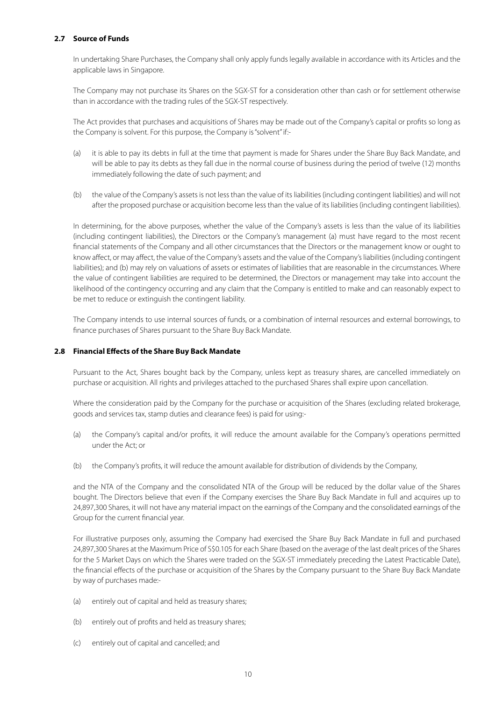# **2.7 Source of Funds**

In undertaking Share Purchases, the Company shall only apply funds legally available in accordance with its Articles and the applicable laws in Singapore.

The Company may not purchase its Shares on the SGX-ST for a consideration other than cash or for settlement otherwise than in accordance with the trading rules of the SGX-ST respectively.

The Act provides that purchases and acquisitions of Shares may be made out of the Company's capital or profits so long as the Company is solvent. For this purpose, the Company is "solvent" if:-

- (a) it is able to pay its debts in full at the time that payment is made for Shares under the Share Buy Back Mandate, and will be able to pay its debts as they fall due in the normal course of business during the period of twelve (12) months immediately following the date of such payment; and
- (b) the value of the Company's assets is not less than the value of its liabilities (including contingent liabilities) and will not after the proposed purchase or acquisition become less than the value of its liabilities (including contingent liabilities).

In determining, for the above purposes, whether the value of the Company's assets is less than the value of its liabilities (including contingent liabilities), the Directors or the Company's management (a) must have regard to the most recent financial statements of the Company and all other circumstances that the Directors or the management know or ought to know affect, or may affect, the value of the Company's assets and the value of the Company's liabilities (including contingent liabilities); and (b) may rely on valuations of assets or estimates of liabilities that are reasonable in the circumstances. Where the value of contingent liabilities are required to be determined, the Directors or management may take into account the likelihood of the contingency occurring and any claim that the Company is entitled to make and can reasonably expect to be met to reduce or extinguish the contingent liability.

The Company intends to use internal sources of funds, or a combination of internal resources and external borrowings, to finance purchases of Shares pursuant to the Share Buy Back Mandate.

# **2.8 Financial Effects of the Share Buy Back Mandate**

Pursuant to the Act, Shares bought back by the Company, unless kept as treasury shares, are cancelled immediately on purchase or acquisition. All rights and privileges attached to the purchased Shares shall expire upon cancellation.

Where the consideration paid by the Company for the purchase or acquisition of the Shares (excluding related brokerage, goods and services tax, stamp duties and clearance fees) is paid for using:-

- (a) the Company's capital and/or profits, it will reduce the amount available for the Company's operations permitted under the Act; or
- (b) the Company's profits, it will reduce the amount available for distribution of dividends by the Company,

and the NTA of the Company and the consolidated NTA of the Group will be reduced by the dollar value of the Shares bought. The Directors believe that even if the Company exercises the Share Buy Back Mandate in full and acquires up to 24,897,300 Shares, it will not have any material impact on the earnings of the Company and the consolidated earnings of the Group for the current financial year.

For illustrative purposes only, assuming the Company had exercised the Share Buy Back Mandate in full and purchased 24,897,300 Shares at the Maximum Price of S\$0.105 for each Share (based on the average of the last dealt prices of the Shares for the 5 Market Days on which the Shares were traded on the SGX-ST immediately preceding the Latest Practicable Date), the financial effects of the purchase or acquisition of the Shares by the Company pursuant to the Share Buy Back Mandate by way of purchases made:-

- (a) entirely out of capital and held as treasury shares;
- (b) entirely out of profits and held as treasury shares;
- (c) entirely out of capital and cancelled; and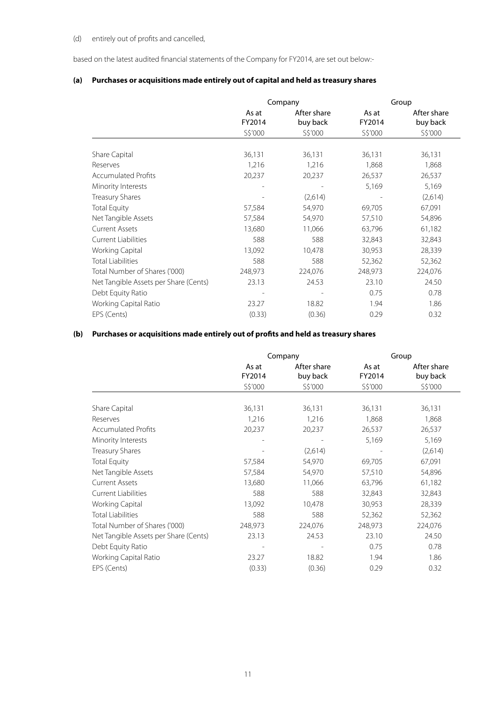# (d) entirely out of profits and cancelled,

based on the latest audited financial statements of the Company for FY2014, are set out below:-

# **(a) Purchases or acquisitions made entirely out of capital and held as treasury shares**

|                                       |                            | Company                            |                            | Group                              |
|---------------------------------------|----------------------------|------------------------------------|----------------------------|------------------------------------|
|                                       | As at<br>FY2014<br>S\$'000 | After share<br>buy back<br>S\$'000 | As at<br>FY2014<br>S\$'000 | After share<br>buy back<br>S\$'000 |
|                                       |                            |                                    |                            |                                    |
| Share Capital                         | 36,131                     | 36,131                             | 36,131                     | 36,131                             |
| Reserves                              | 1,216                      | 1,216                              | 1,868                      | 1,868                              |
| <b>Accumulated Profits</b>            | 20,237                     | 20,237                             | 26,537                     | 26,537                             |
| Minority Interests                    |                            |                                    | 5,169                      | 5,169                              |
| <b>Treasury Shares</b>                |                            | (2,614)                            |                            | (2,614)                            |
| <b>Total Equity</b>                   | 57,584                     | 54,970                             | 69,705                     | 67,091                             |
| Net Tangible Assets                   | 57,584                     | 54,970                             | 57,510                     | 54,896                             |
| <b>Current Assets</b>                 | 13,680                     | 11,066                             | 63,796                     | 61,182                             |
| <b>Current Liabilities</b>            | 588                        | 588                                | 32,843                     | 32,843                             |
| Working Capital                       | 13,092                     | 10,478                             | 30,953                     | 28,339                             |
| <b>Total Liabilities</b>              | 588                        | 588                                | 52,362                     | 52,362                             |
| Total Number of Shares ('000)         | 248,973                    | 224,076                            | 248,973                    | 224,076                            |
| Net Tangible Assets per Share (Cents) | 23.13                      | 24.53                              | 23.10                      | 24.50                              |
| Debt Equity Ratio                     |                            |                                    | 0.75                       | 0.78                               |
| Working Capital Ratio                 | 23.27                      | 18.82                              | 1.94                       | 1.86                               |
| EPS (Cents)                           | (0.33)                     | (0.36)                             | 0.29                       | 0.32                               |

# **(b) Purchases or acquisitions made entirely out of profits and held as treasury shares**

|                                       |                 | Company                 |                 | Group                   |
|---------------------------------------|-----------------|-------------------------|-----------------|-------------------------|
|                                       | As at<br>FY2014 | After share<br>buy back | As at<br>FY2014 | After share<br>buy back |
|                                       | S\$'000         | S\$'000                 | S\$'000         | S\$'000                 |
| Share Capital                         | 36,131          | 36,131                  | 36,131          | 36,131                  |
| Reserves                              | 1,216           | 1,216                   | 1,868           | 1,868                   |
| <b>Accumulated Profits</b>            | 20,237          | 20,237                  | 26,537          | 26,537                  |
| Minority Interests                    |                 |                         | 5,169           | 5,169                   |
| <b>Treasury Shares</b>                |                 | (2,614)                 |                 | (2,614)                 |
| <b>Total Equity</b>                   | 57,584          | 54,970                  | 69,705          | 67,091                  |
| Net Tangible Assets                   | 57,584          | 54,970                  | 57,510          | 54,896                  |
| <b>Current Assets</b>                 | 13,680          | 11,066                  | 63,796          | 61,182                  |
| <b>Current Liabilities</b>            | 588             | 588                     | 32,843          | 32,843                  |
| Working Capital                       | 13,092          | 10,478                  | 30,953          | 28,339                  |
| <b>Total Liabilities</b>              | 588             | 588                     | 52,362          | 52,362                  |
| Total Number of Shares ('000)         | 248,973         | 224,076                 | 248,973         | 224,076                 |
| Net Tangible Assets per Share (Cents) | 23.13           | 24.53                   | 23.10           | 24.50                   |
| Debt Equity Ratio                     |                 |                         | 0.75            | 0.78                    |
| Working Capital Ratio                 | 23.27           | 18.82                   | 1.94            | 1.86                    |
| EPS (Cents)                           | (0.33)          | (0.36)                  | 0.29            | 0.32                    |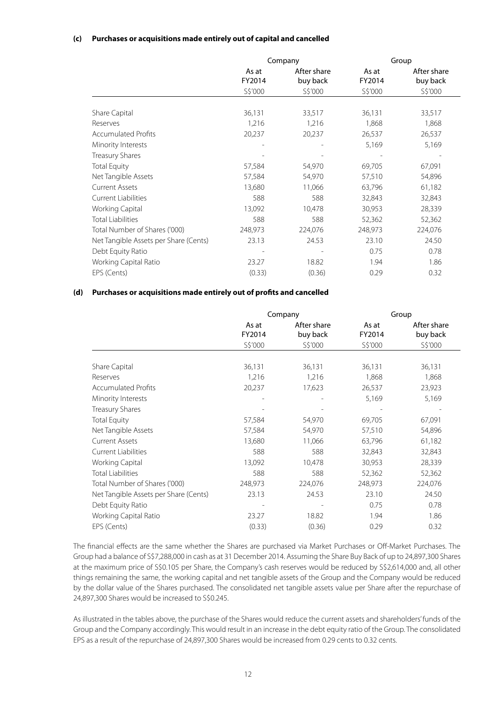# **(c) Purchases or acquisitions made entirely out of capital and cancelled**

|                                       |         | Company     |         | Group       |
|---------------------------------------|---------|-------------|---------|-------------|
|                                       | As at   | After share | As at   | After share |
|                                       | FY2014  | buy back    | FY2014  | buy back    |
|                                       | S\$'000 | S\$'000     | S\$'000 | S\$'000     |
|                                       |         |             |         |             |
| Share Capital                         | 36,131  | 33,517      | 36,131  | 33,517      |
| Reserves                              | 1,216   | 1,216       | 1,868   | 1,868       |
| <b>Accumulated Profits</b>            | 20,237  | 20,237      | 26,537  | 26,537      |
| Minority Interests                    |         |             | 5,169   | 5,169       |
| <b>Treasury Shares</b>                |         |             |         |             |
| <b>Total Equity</b>                   | 57,584  | 54,970      | 69,705  | 67,091      |
| Net Tangible Assets                   | 57,584  | 54,970      | 57,510  | 54,896      |
| <b>Current Assets</b>                 | 13,680  | 11,066      | 63,796  | 61,182      |
| <b>Current Liabilities</b>            | 588     | 588         | 32,843  | 32,843      |
| Working Capital                       | 13,092  | 10,478      | 30,953  | 28,339      |
| <b>Total Liabilities</b>              | 588     | 588         | 52,362  | 52,362      |
| Total Number of Shares ('000)         | 248,973 | 224,076     | 248,973 | 224,076     |
| Net Tangible Assets per Share (Cents) | 23.13   | 24.53       | 23.10   | 24.50       |
| Debt Equity Ratio                     |         |             | 0.75    | 0.78        |
| Working Capital Ratio                 | 23.27   | 18.82       | 1.94    | 1.86        |
| EPS (Cents)                           | (0.33)  | (0.36)      | 0.29    | 0.32        |

# **(d) Purchases or acquisitions made entirely out of profits and cancelled**

|                                       |                            | Company                            |                            | Group                              |
|---------------------------------------|----------------------------|------------------------------------|----------------------------|------------------------------------|
|                                       | As at<br>FY2014<br>S\$'000 | After share<br>buy back<br>S\$'000 | As at<br>FY2014<br>S\$'000 | After share<br>buy back<br>S\$'000 |
|                                       |                            |                                    |                            |                                    |
| Share Capital                         | 36,131                     | 36,131                             | 36,131                     | 36,131                             |
| Reserves                              | 1,216                      | 1,216                              | 1,868                      | 1,868                              |
| <b>Accumulated Profits</b>            | 20,237                     | 17,623                             | 26,537                     | 23,923                             |
| Minority Interests                    |                            |                                    | 5,169                      | 5,169                              |
| Treasury Shares                       |                            |                                    |                            |                                    |
| <b>Total Equity</b>                   | 57,584                     | 54,970                             | 69,705                     | 67,091                             |
| Net Tangible Assets                   | 57,584                     | 54,970                             | 57,510                     | 54,896                             |
| <b>Current Assets</b>                 | 13,680                     | 11,066                             | 63,796                     | 61,182                             |
| <b>Current Liabilities</b>            | 588                        | 588                                | 32,843                     | 32,843                             |
| Working Capital                       | 13,092                     | 10,478                             | 30,953                     | 28,339                             |
| <b>Total Liabilities</b>              | 588                        | 588                                | 52,362                     | 52,362                             |
| Total Number of Shares ('000)         | 248,973                    | 224,076                            | 248,973                    | 224,076                            |
| Net Tangible Assets per Share (Cents) | 23.13                      | 24.53                              | 23.10                      | 24.50                              |
| Debt Equity Ratio                     |                            |                                    | 0.75                       | 0.78                               |
| Working Capital Ratio                 | 23.27                      | 18.82                              | 1.94                       | 1.86                               |
| EPS (Cents)                           | (0.33)                     | (0.36)                             | 0.29                       | 0.32                               |

The financial effects are the same whether the Shares are purchased via Market Purchases or Off-Market Purchases. The Group had a balance of S\$7,288,000 in cash as at 31 December 2014. Assuming the Share Buy Back of up to 24,897,300 Shares at the maximum price of S\$0.105 per Share, the Company's cash reserves would be reduced by S\$2,614,000 and, all other things remaining the same, the working capital and net tangible assets of the Group and the Company would be reduced by the dollar value of the Shares purchased. The consolidated net tangible assets value per Share after the repurchase of 24,897,300 Shares would be increased to S\$0.245.

As illustrated in the tables above, the purchase of the Shares would reduce the current assets and shareholders' funds of the Group and the Company accordingly. This would result in an increase in the debt equity ratio of the Group. The consolidated EPS as a result of the repurchase of 24,897,300 Shares would be increased from 0.29 cents to 0.32 cents.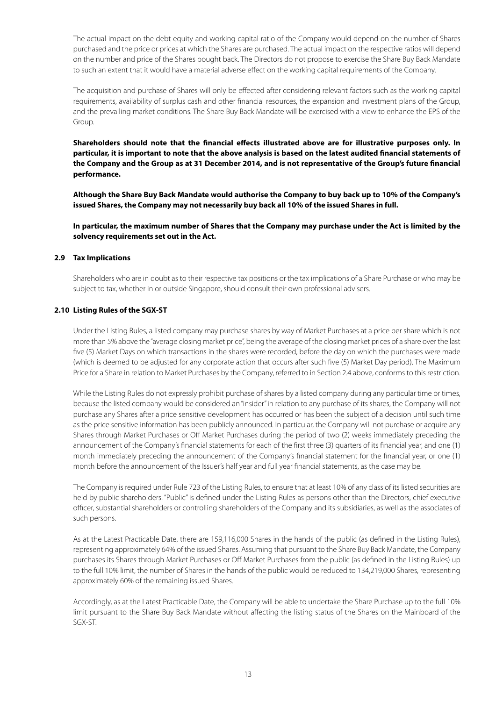The actual impact on the debt equity and working capital ratio of the Company would depend on the number of Shares purchased and the price or prices at which the Shares are purchased. The actual impact on the respective ratios will depend on the number and price of the Shares bought back. The Directors do not propose to exercise the Share Buy Back Mandate to such an extent that it would have a material adverse effect on the working capital requirements of the Company.

The acquisition and purchase of Shares will only be effected after considering relevant factors such as the working capital requirements, availability of surplus cash and other financial resources, the expansion and investment plans of the Group, and the prevailing market conditions. The Share Buy Back Mandate will be exercised with a view to enhance the EPS of the Group.

**Shareholders should note that the financial effects illustrated above are for illustrative purposes only. In particular, it is important to note that the above analysis is based on the latest audited financial statements of the Company and the Group as at 31 December 2014, and is not representative of the Group's future financial performance.**

**Although the Share Buy Back Mandate would authorise the Company to buy back up to 10% of the Company's issued Shares, the Company may not necessarily buy back all 10% of the issued Shares in full.**

**In particular, the maximum number of Shares that the Company may purchase under the Act is limited by the solvency requirements set out in the Act.**

#### **2.9 Tax Implications**

Shareholders who are in doubt as to their respective tax positions or the tax implications of a Share Purchase or who may be subject to tax, whether in or outside Singapore, should consult their own professional advisers.

#### **2.10 Listing Rules of the SGX-ST**

Under the Listing Rules, a listed company may purchase shares by way of Market Purchases at a price per share which is not more than 5% above the "average closing market price", being the average of the closing market prices of a share over the last five (5) Market Days on which transactions in the shares were recorded, before the day on which the purchases were made (which is deemed to be adjusted for any corporate action that occurs after such five (5) Market Day period). The Maximum Price for a Share in relation to Market Purchases by the Company, referred to in Section 2.4 above, conforms to this restriction.

While the Listing Rules do not expressly prohibit purchase of shares by a listed company during any particular time or times, because the listed company would be considered an "insider" in relation to any purchase of its shares, the Company will not purchase any Shares after a price sensitive development has occurred or has been the subject of a decision until such time as the price sensitive information has been publicly announced. In particular, the Company will not purchase or acquire any Shares through Market Purchases or Off Market Purchases during the period of two (2) weeks immediately preceding the announcement of the Company's financial statements for each of the first three (3) quarters of its financial year, and one (1) month immediately preceding the announcement of the Company's financial statement for the financial year, or one (1) month before the announcement of the Issuer's half year and full year financial statements, as the case may be.

The Company is required under Rule 723 of the Listing Rules, to ensure that at least 10% of any class of its listed securities are held by public shareholders. "Public" is defined under the Listing Rules as persons other than the Directors, chief executive officer, substantial shareholders or controlling shareholders of the Company and its subsidiaries, as well as the associates of such persons.

As at the Latest Practicable Date, there are 159,116,000 Shares in the hands of the public (as defined in the Listing Rules), representing approximately 64% of the issued Shares. Assuming that pursuant to the Share Buy Back Mandate, the Company purchases its Shares through Market Purchases or Off Market Purchases from the public (as defined in the Listing Rules) up to the full 10% limit, the number of Shares in the hands of the public would be reduced to 134,219,000 Shares, representing approximately 60% of the remaining issued Shares.

Accordingly, as at the Latest Practicable Date, the Company will be able to undertake the Share Purchase up to the full 10% limit pursuant to the Share Buy Back Mandate without affecting the listing status of the Shares on the Mainboard of the SGX-ST.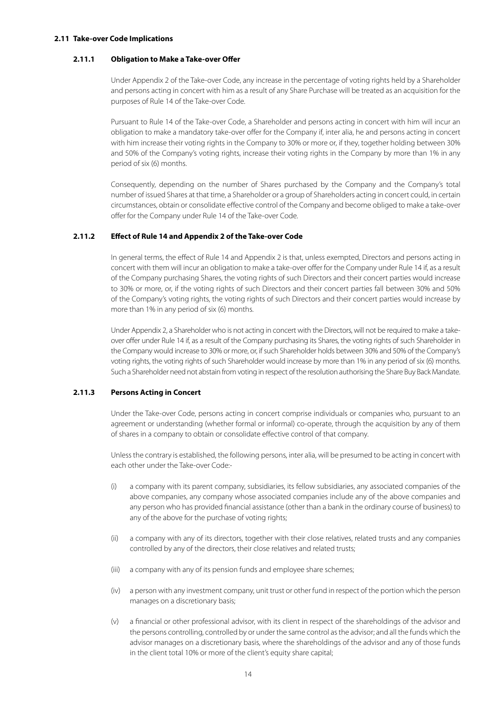#### **2.11 Take-over Code Implications**

### **2.11.1 Obligation to Make a Take-over Offer**

Under Appendix 2 of the Take-over Code, any increase in the percentage of voting rights held by a Shareholder and persons acting in concert with him as a result of any Share Purchase will be treated as an acquisition for the purposes of Rule 14 of the Take-over Code.

Pursuant to Rule 14 of the Take-over Code, a Shareholder and persons acting in concert with him will incur an obligation to make a mandatory take-over offer for the Company if, inter alia, he and persons acting in concert with him increase their voting rights in the Company to 30% or more or, if they, together holding between 30% and 50% of the Company's voting rights, increase their voting rights in the Company by more than 1% in any period of six (6) months.

Consequently, depending on the number of Shares purchased by the Company and the Company's total number of issued Shares at that time, a Shareholder or a group of Shareholders acting in concert could, in certain circumstances, obtain or consolidate effective control of the Company and become obliged to make a take-over offer for the Company under Rule 14 of the Take-over Code.

# **2.11.2 Effect of Rule 14 and Appendix 2 of the Take-over Code**

In general terms, the effect of Rule 14 and Appendix 2 is that, unless exempted, Directors and persons acting in concert with them will incur an obligation to make a take-over offer for the Company under Rule 14 if, as a result of the Company purchasing Shares, the voting rights of such Directors and their concert parties would increase to 30% or more, or, if the voting rights of such Directors and their concert parties fall between 30% and 50% of the Company's voting rights, the voting rights of such Directors and their concert parties would increase by more than 1% in any period of six (6) months.

Under Appendix 2, a Shareholder who is not acting in concert with the Directors, will not be required to make a takeover offer under Rule 14 if, as a result of the Company purchasing its Shares, the voting rights of such Shareholder in the Company would increase to 30% or more, or, if such Shareholder holds between 30% and 50% of the Company's voting rights, the voting rights of such Shareholder would increase by more than 1% in any period of six (6) months. Such a Shareholder need not abstain from voting in respect of the resolution authorising the Share Buy Back Mandate.

# **2.11.3 Persons Acting in Concert**

Under the Take-over Code, persons acting in concert comprise individuals or companies who, pursuant to an agreement or understanding (whether formal or informal) co-operate, through the acquisition by any of them of shares in a company to obtain or consolidate effective control of that company.

Unless the contrary is established, the following persons, inter alia, will be presumed to be acting in concert with each other under the Take-over Code:-

- (i) a company with its parent company, subsidiaries, its fellow subsidiaries, any associated companies of the above companies, any company whose associated companies include any of the above companies and any person who has provided financial assistance (other than a bank in the ordinary course of business) to any of the above for the purchase of voting rights;
- (ii) a company with any of its directors, together with their close relatives, related trusts and any companies controlled by any of the directors, their close relatives and related trusts;
- (iii) a company with any of its pension funds and employee share schemes;
- (iv) a person with any investment company, unit trust or other fund in respect of the portion which the person manages on a discretionary basis;
- (v) a financial or other professional advisor, with its client in respect of the shareholdings of the advisor and the persons controlling, controlled by or under the same control as the advisor; and all the funds which the advisor manages on a discretionary basis, where the shareholdings of the advisor and any of those funds in the client total 10% or more of the client's equity share capital;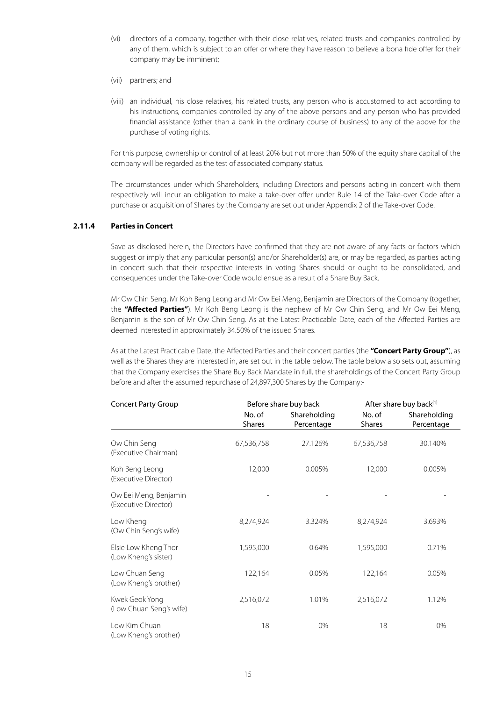- (vi) directors of a company, together with their close relatives, related trusts and companies controlled by any of them, which is subject to an offer or where they have reason to believe a bona fide offer for their company may be imminent;
- (vii) partners; and
- (viii) an individual, his close relatives, his related trusts, any person who is accustomed to act according to his instructions, companies controlled by any of the above persons and any person who has provided financial assistance (other than a bank in the ordinary course of business) to any of the above for the purchase of voting rights.

For this purpose, ownership or control of at least 20% but not more than 50% of the equity share capital of the company will be regarded as the test of associated company status.

The circumstances under which Shareholders, including Directors and persons acting in concert with them respectively will incur an obligation to make a take-over offer under Rule 14 of the Take-over Code after a purchase or acquisition of Shares by the Company are set out under Appendix 2 of the Take-over Code.

# **2.11.4 Parties in Concert**

Save as disclosed herein, the Directors have confirmed that they are not aware of any facts or factors which suggest or imply that any particular person(s) and/or Shareholder(s) are, or may be regarded, as parties acting in concert such that their respective interests in voting Shares should or ought to be consolidated, and consequences under the Take-over Code would ensue as a result of a Share Buy Back.

Mr Ow Chin Seng, Mr Koh Beng Leong and Mr Ow Eei Meng, Benjamin are Directors of the Company (together, the **"Affected Parties"**). Mr Koh Beng Leong is the nephew of Mr Ow Chin Seng, and Mr Ow Eei Meng, Benjamin is the son of Mr Ow Chin Seng. As at the Latest Practicable Date, each of the Affected Parties are deemed interested in approximately 34.50% of the issued Shares.

As at the Latest Practicable Date, the Affected Parties and their concert parties (the **"Concert Party Group"**), as well as the Shares they are interested in, are set out in the table below. The table below also sets out, assuming that the Company exercises the Share Buy Back Mandate in full, the shareholdings of the Concert Party Group before and after the assumed repurchase of 24,897,300 Shares by the Company:-

| <b>Concert Party Group</b>                    |                         | Before share buy back      | After share buy back <sup>(1)</sup> |                            |  |
|-----------------------------------------------|-------------------------|----------------------------|-------------------------------------|----------------------------|--|
|                                               | No. of<br><b>Shares</b> | Shareholding<br>Percentage | No. of<br><b>Shares</b>             | Shareholding<br>Percentage |  |
| Ow Chin Seng<br>(Executive Chairman)          | 67,536,758              | 27.126%                    | 67,536,758                          | 30.140%                    |  |
| Koh Beng Leong<br>(Executive Director)        | 12,000                  | 0.005%                     | 12,000                              | 0.005%                     |  |
| Ow Eei Meng, Benjamin<br>(Executive Director) |                         |                            |                                     |                            |  |
| Low Kheng<br>(Ow Chin Seng's wife)            | 8,274,924               | 3.324%                     | 8,274,924                           | 3.693%                     |  |
| Elsie Low Kheng Thor<br>(Low Kheng's sister)  | 1,595,000               | 0.64%                      | 1,595,000                           | 0.71%                      |  |
| Low Chuan Seng<br>(Low Kheng's brother)       | 122,164                 | 0.05%                      | 122,164                             | 0.05%                      |  |
| Kwek Geok Yong<br>(Low Chuan Seng's wife)     | 2,516,072               | 1.01%                      | 2,516,072                           | 1.12%                      |  |
| Low Kim Chuan<br>(Low Kheng's brother)        | 18                      | 0%                         | 18                                  | 0%                         |  |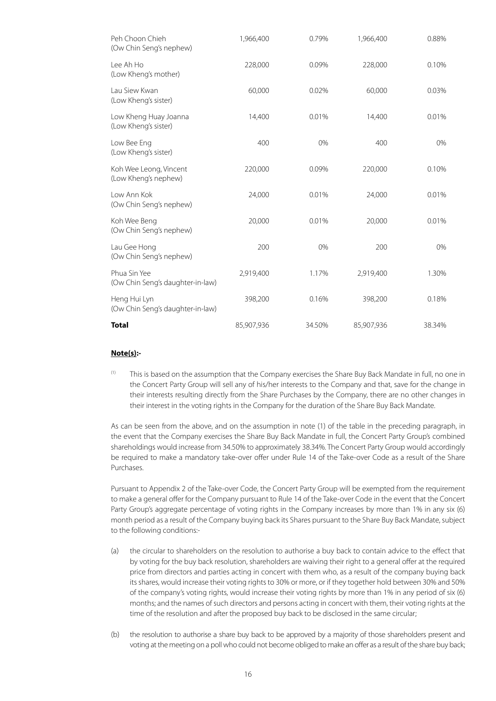| Peh Choon Chieh<br>(Ow Chin Seng's nephew)       | 1,966,400  | 0.79%  | 1,966,400  | 0.88%  |
|--------------------------------------------------|------------|--------|------------|--------|
| Lee Ah Ho<br>(Low Kheng's mother)                | 228,000    | 0.09%  | 228,000    | 0.10%  |
| Lau Siew Kwan<br>(Low Kheng's sister)            | 60,000     | 0.02%  | 60,000     | 0.03%  |
| Low Kheng Huay Joanna<br>(Low Kheng's sister)    | 14,400     | 0.01%  | 14,400     | 0.01%  |
| Low Bee Eng<br>(Low Kheng's sister)              | 400        | 0%     | 400        | 0%     |
| Koh Wee Leong, Vincent<br>(Low Kheng's nephew)   | 220,000    | 0.09%  | 220,000    | 0.10%  |
| Low Ann Kok<br>(Ow Chin Seng's nephew)           | 24,000     | 0.01%  | 24,000     | 0.01%  |
| Koh Wee Beng<br>(Ow Chin Seng's nephew)          | 20,000     | 0.01%  | 20,000     | 0.01%  |
| Lau Gee Hong<br>(Ow Chin Seng's nephew)          | 200        | 0%     | 200        | 0%     |
| Phua Sin Yee<br>(Ow Chin Seng's daughter-in-law) | 2,919,400  | 1.17%  | 2,919,400  | 1.30%  |
| Heng Hui Lyn<br>(Ow Chin Seng's daughter-in-law) | 398,200    | 0.16%  | 398,200    | 0.18%  |
| Total                                            | 85,907,936 | 34.50% | 85,907,936 | 38.34% |

# **Note(s):-**

(1) This is based on the assumption that the Company exercises the Share Buy Back Mandate in full, no one in the Concert Party Group will sell any of his/her interests to the Company and that, save for the change in their interests resulting directly from the Share Purchases by the Company, there are no other changes in their interest in the voting rights in the Company for the duration of the Share Buy Back Mandate.

As can be seen from the above, and on the assumption in note (1) of the table in the preceding paragraph, in the event that the Company exercises the Share Buy Back Mandate in full, the Concert Party Group's combined shareholdings would increase from 34.50% to approximately 38.34%. The Concert Party Group would accordingly be required to make a mandatory take-over offer under Rule 14 of the Take-over Code as a result of the Share Purchases.

Pursuant to Appendix 2 of the Take-over Code, the Concert Party Group will be exempted from the requirement to make a general offer for the Company pursuant to Rule 14 of the Take-over Code in the event that the Concert Party Group's aggregate percentage of voting rights in the Company increases by more than 1% in any six (6) month period as a result of the Company buying back its Shares pursuant to the Share Buy Back Mandate, subject to the following conditions:-

- (a) the circular to shareholders on the resolution to authorise a buy back to contain advice to the effect that by voting for the buy back resolution, shareholders are waiving their right to a general offer at the required price from directors and parties acting in concert with them who, as a result of the company buying back its shares, would increase their voting rights to 30% or more, or if they together hold between 30% and 50% of the company's voting rights, would increase their voting rights by more than 1% in any period of six (6) months; and the names of such directors and persons acting in concert with them, their voting rights at the time of the resolution and after the proposed buy back to be disclosed in the same circular;
- (b) the resolution to authorise a share buy back to be approved by a majority of those shareholders present and voting at the meeting on a poll who could not become obliged to make an offer as a result of the share buy back;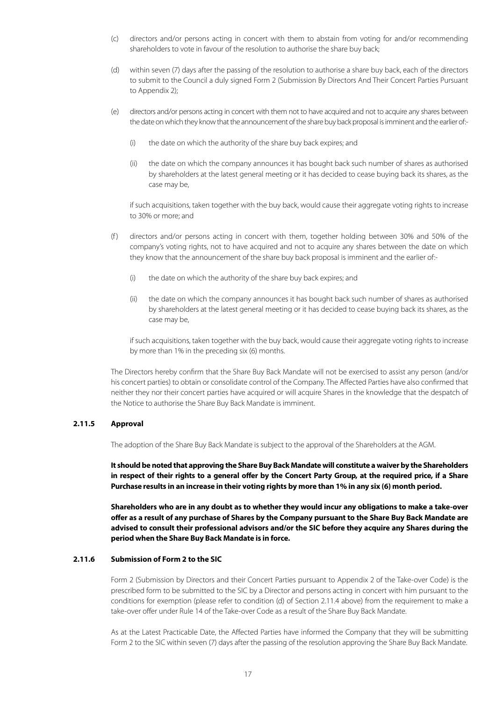- (c) directors and/or persons acting in concert with them to abstain from voting for and/or recommending shareholders to vote in favour of the resolution to authorise the share buy back;
- (d) within seven (7) days after the passing of the resolution to authorise a share buy back, each of the directors to submit to the Council a duly signed Form 2 (Submission By Directors And Their Concert Parties Pursuant to Appendix 2);
- (e) directors and/or persons acting in concert with them not to have acquired and not to acquire any shares between the date on which they know that the announcement of the share buy back proposal is imminent and the earlier of:-
	- (i) the date on which the authority of the share buy back expires; and
	- (ii) the date on which the company announces it has bought back such number of shares as authorised by shareholders at the latest general meeting or it has decided to cease buying back its shares, as the case may be,

if such acquisitions, taken together with the buy back, would cause their aggregate voting rights to increase to 30% or more; and

- (f) directors and/or persons acting in concert with them, together holding between 30% and 50% of the company's voting rights, not to have acquired and not to acquire any shares between the date on which they know that the announcement of the share buy back proposal is imminent and the earlier of:-
	- (i) the date on which the authority of the share buy back expires; and
	- (ii) the date on which the company announces it has bought back such number of shares as authorised by shareholders at the latest general meeting or it has decided to cease buying back its shares, as the case may be,

if such acquisitions, taken together with the buy back, would cause their aggregate voting rights to increase by more than 1% in the preceding six (6) months.

The Directors hereby confirm that the Share Buy Back Mandate will not be exercised to assist any person (and/or his concert parties) to obtain or consolidate control of the Company. The Affected Parties have also confirmed that neither they nor their concert parties have acquired or will acquire Shares in the knowledge that the despatch of the Notice to authorise the Share Buy Back Mandate is imminent.

# **2.11.5 Approval**

The adoption of the Share Buy Back Mandate is subject to the approval of the Shareholders at the AGM.

**It should be noted that approving the Share Buy Back Mandate will constitute a waiver by the Shareholders in respect of their rights to a general offer by the Concert Party Group, at the required price, if a Share Purchase results in an increase in their voting rights by more than 1% in any six (6) month period.**

**Shareholders who are in any doubt as to whether they would incur any obligations to make a take-over offer as a result of any purchase of Shares by the Company pursuant to the Share Buy Back Mandate are advised to consult their professional advisors and/or the SIC before they acquire any Shares during the period when the Share Buy Back Mandate is in force.**

### **2.11.6 Submission of Form 2 to the SIC**

Form 2 (Submission by Directors and their Concert Parties pursuant to Appendix 2 of the Take-over Code) is the prescribed form to be submitted to the SIC by a Director and persons acting in concert with him pursuant to the conditions for exemption (please refer to condition (d) of Section 2.11.4 above) from the requirement to make a take-over offer under Rule 14 of the Take-over Code as a result of the Share Buy Back Mandate.

As at the Latest Practicable Date, the Affected Parties have informed the Company that they will be submitting Form 2 to the SIC within seven (7) days after the passing of the resolution approving the Share Buy Back Mandate.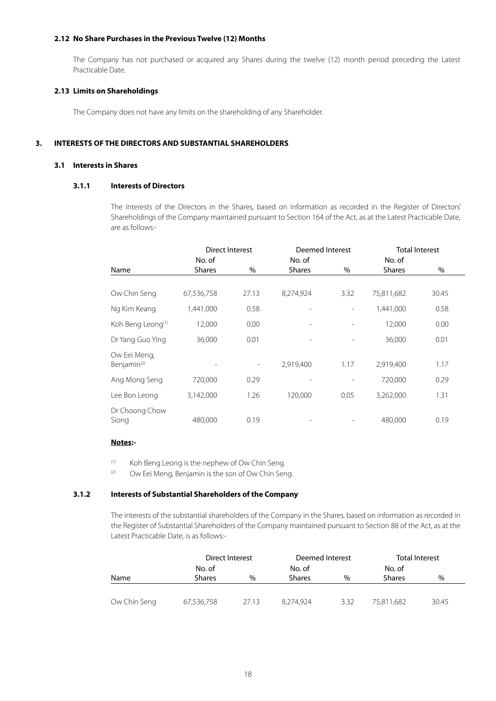### **2.12 No Share Purchases in the Previous Twelve (12) Months**

The Company has not purchased or acquired any Shares during the twelve (12) month period preceding the Latest Practicable Date.

#### **2.13 Limits on Shareholdings**

The Company does not have any limits on the shareholding of any Shareholder.

# **3. INTERESTS OF THE DIRECTORS AND SUBSTANTIAL SHAREHOLDERS**

#### **3.1 Interests in Shares**

### **3.1.1 Interests of Directors**

The interests of the Directors in the Shares, based on information as recorded in the Register of Directors' Shareholdings of the Company maintained pursuant to Section 164 of the Act, as at the Latest Practicable Date, are as follows:-

|                               | <b>Direct Interest</b> |                          | Deemed Interest |      |               | <b>Total Interest</b> |
|-------------------------------|------------------------|--------------------------|-----------------|------|---------------|-----------------------|
|                               | No. of                 |                          | No. of          |      | No. of        |                       |
| Name                          | <b>Shares</b>          | %                        | <b>Shares</b>   | %    | <b>Shares</b> | %                     |
|                               |                        |                          |                 |      |               |                       |
| Ow Chin Seng                  | 67,536,758             | 27.13                    | 8,274,924       | 3.32 | 75,811,682    | 30.45                 |
| Ng Kim Keang                  | 1,441,000              | 0.58                     |                 |      | 1,441,000     | 0.58                  |
| Koh Beng Leong <sup>(1)</sup> | 12,000                 | 0.00                     |                 |      | 12,000        | 0.00                  |
| Dr Yang Guo Ying              | 36,000                 | 0.01                     |                 |      | 36,000        | 0.01                  |
| Ow Eei Meng,                  |                        |                          |                 |      |               |                       |
| Benjamin <sup>(2)</sup>       |                        | $\overline{\phantom{a}}$ | 2,919,400       | 1.17 | 2,919,400     | 1.17                  |
| Ang Mong Seng                 | 720,000                | 0.29                     |                 |      | 720,000       | 0.29                  |
| Lee Bon Leong                 | 3,142,000              | 1.26                     | 120,000         | 0.05 | 3,262,000     | 1.31                  |
| Dr Choong Chow                |                        |                          |                 |      |               |                       |
| Siong                         | 480,000                | 0.19                     |                 |      | 480,000       | 0.19                  |

# **Notes:-**

(1) Koh Beng Leong is the nephew of Ow Chin Seng.

 $(2)$  Ow Eei Meng, Benjamin is the son of Ow Chin Seng.

# **3.1.2 Interests of Substantial Shareholders of the Company**

The interests of the substantial shareholders of the Company in the Shares, based on information as recorded in the Register of Substantial Shareholders of the Company maintained pursuant to Section 88 of the Act, as at the Latest Practicable Date, is as follows:-

|              | Direct Interest |               | Deemed Interest |      |               | <b>Total Interest</b> |
|--------------|-----------------|---------------|-----------------|------|---------------|-----------------------|
|              | No. of          |               | No. of          |      | No. of        |                       |
| Name         | <b>Shares</b>   | $\frac{0}{0}$ | <b>Shares</b>   | $\%$ | <b>Shares</b> | $\%$                  |
|              |                 |               |                 |      |               |                       |
| Ow Chin Seng | 67,536,758      | 27.13         | 8.274.924       | 3.32 | 75.811.682    | 30.45                 |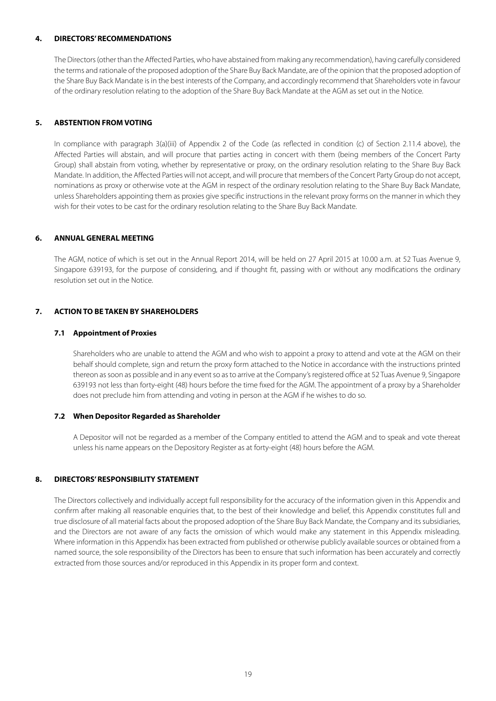#### **4. DIRECTORS' RECOMMENDATIONS**

The Directors (other than the Affected Parties, who have abstained from making any recommendation), having carefully considered the terms and rationale of the proposed adoption of the Share Buy Back Mandate, are of the opinion that the proposed adoption of the Share Buy Back Mandate is in the best interests of the Company, and accordingly recommend that Shareholders vote in favour of the ordinary resolution relating to the adoption of the Share Buy Back Mandate at the AGM as set out in the Notice.

# **5. ABSTENTION FROM VOTING**

In compliance with paragraph 3(a)(iii) of Appendix 2 of the Code (as reflected in condition (c) of Section 2.11.4 above), the Affected Parties will abstain, and will procure that parties acting in concert with them (being members of the Concert Party Group) shall abstain from voting, whether by representative or proxy, on the ordinary resolution relating to the Share Buy Back Mandate. In addition, the Affected Parties will not accept, and will procure that members of the Concert Party Group do not accept, nominations as proxy or otherwise vote at the AGM in respect of the ordinary resolution relating to the Share Buy Back Mandate, unless Shareholders appointing them as proxies give specific instructions in the relevant proxy forms on the manner in which they wish for their votes to be cast for the ordinary resolution relating to the Share Buy Back Mandate.

#### **6. ANNUAL GENERAL MEETING**

The AGM, notice of which is set out in the Annual Report 2014, will be held on 27 April 2015 at 10.00 a.m. at 52 Tuas Avenue 9, Singapore 639193, for the purpose of considering, and if thought fit, passing with or without any modifications the ordinary resolution set out in the Notice.

# **7. ACTION TO BE TAKEN BY SHAREHOLDERS**

#### **7.1 Appointment of Proxies**

Shareholders who are unable to attend the AGM and who wish to appoint a proxy to attend and vote at the AGM on their behalf should complete, sign and return the proxy form attached to the Notice in accordance with the instructions printed thereon as soon as possible and in any event so as to arrive at the Company's registered office at 52 Tuas Avenue 9, Singapore 639193 not less than forty-eight (48) hours before the time fixed for the AGM. The appointment of a proxy by a Shareholder does not preclude him from attending and voting in person at the AGM if he wishes to do so.

#### **7.2 When Depositor Regarded as Shareholder**

A Depositor will not be regarded as a member of the Company entitled to attend the AGM and to speak and vote thereat unless his name appears on the Depository Register as at forty-eight (48) hours before the AGM.

#### **8. DIRECTORS' RESPONSIBILITY STATEMENT**

The Directors collectively and individually accept full responsibility for the accuracy of the information given in this Appendix and confirm after making all reasonable enquiries that, to the best of their knowledge and belief, this Appendix constitutes full and true disclosure of all material facts about the proposed adoption of the Share Buy Back Mandate, the Company and its subsidiaries, and the Directors are not aware of any facts the omission of which would make any statement in this Appendix misleading. Where information in this Appendix has been extracted from published or otherwise publicly available sources or obtained from a named source, the sole responsibility of the Directors has been to ensure that such information has been accurately and correctly extracted from those sources and/or reproduced in this Appendix in its proper form and context.